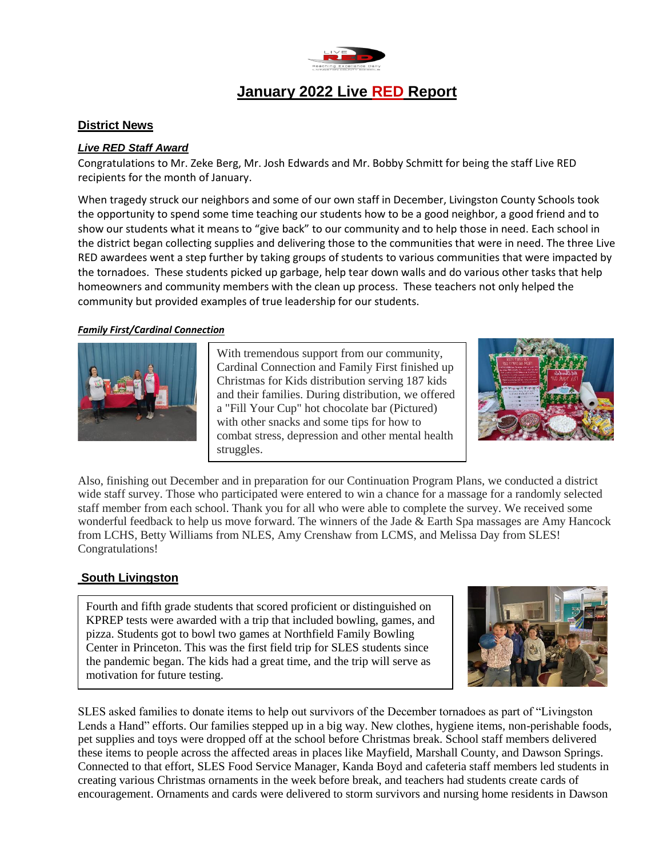

# **January 2022 Live RED Report**

#### **District News**

#### *Live RED Staff Award*

Congratulations to Mr. Zeke Berg, Mr. Josh Edwards and Mr. Bobby Schmitt for being the staff Live RED recipients for the month of January.

When tragedy struck our neighbors and some of our own staff in December, Livingston County Schools took the opportunity to spend some time teaching our students how to be a good neighbor, a good friend and to show our students what it means to "give back" to our community and to help those in need. Each school in the district began collecting supplies and delivering those to the communities that were in need. The three Live RED awardees went a step further by taking groups of students to various communities that were impacted by the tornadoes. These students picked up garbage, help tear down walls and do various other tasks that help homeowners and community members with the clean up process. These teachers not only helped the community but provided examples of true leadership for our students.

#### *Family First/Cardinal Connection*



With tremendous support from our community, Cardinal Connection and Family First finished up Christmas for Kids distribution serving 187 kids and their families. During distribution, we offered a "Fill Your Cup" hot chocolate bar (Pictured) with other snacks and some tips for how to combat stress, depression and other mental health struggles.



Also, finishing out December and in preparation for our Continuation Program Plans, we conducted a district wide staff survey. Those who participated were entered to win a chance for a massage for a randomly selected staff member from each school. Thank you for all who were able to complete the survey. We received some wonderful feedback to help us move forward. The winners of the Jade & Earth Spa massages are Amy Hancock from LCHS, Betty Williams from NLES, Amy Crenshaw from LCMS, and Melissa Day from SLES! Congratulations!

### **South Livingston**

Fourth and fifth grade students that scored proficient or distinguished on KPREP tests were awarded with a trip that included bowling, games, and pizza. Students got to bowl two games at Northfield Family Bowling Center in Princeton. This was the first field trip for SLES students since the pandemic began. The kids had a great time, and the trip will serve as motivation for future testing.



SLES asked families to donate items to help out survivors of the December tornadoes as part of "Livingston Lends a Hand" efforts. Our families stepped up in a big way. New clothes, hygiene items, non-perishable foods, pet supplies and toys were dropped off at the school before Christmas break. School staff members delivered these items to people across the affected areas in places like Mayfield, Marshall County, and Dawson Springs. Connected to that effort, SLES Food Service Manager, Kanda Boyd and cafeteria staff members led students in creating various Christmas ornaments in the week before break, and teachers had students create cards of encouragement. Ornaments and cards were delivered to storm survivors and nursing home residents in Dawson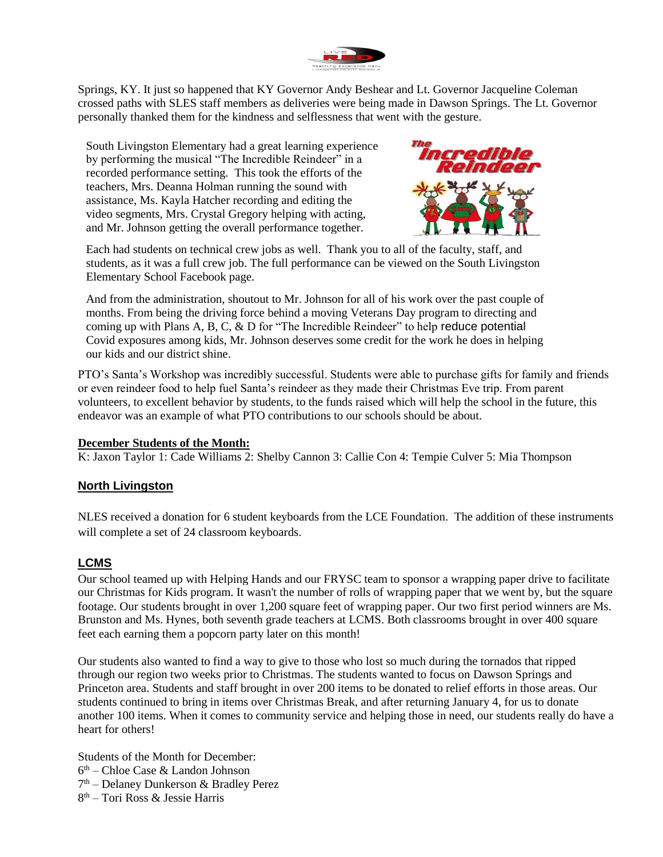

Springs, KY. It just so happened that KY Governor Andy Beshear and Lt. Governor Jacqueline Coleman crossed paths with SLES staff members as deliveries were being made in Dawson Springs. The Lt. Governor personally thanked them for the kindness and selflessness that went with the gesture.

South Livingston Elementary had a great learning experience by performing the musical "The Incredible Reindeer" in a recorded performance setting. This took the efforts of the teachers, Mrs. Deanna Holman running the sound with assistance, Ms. Kayla Hatcher recording and editing the video segments, Mrs. Crystal Gregory helping with acting, and Mr. Johnson getting the overall performance together.



Each had students on technical crew jobs as well. Thank you to all of the faculty, staff, and students, as it was a full crew job. The full performance can be viewed on the South Livingston Elementary School Facebook page.

And from the administration, shoutout to Mr. Johnson for all of his work over the past couple of months. From being the driving force behind a moving Veterans Day program to directing and coming up with Plans A, B, C, & D for "The Incredible Reindeer" to help reduce potential Covid exposures among kids, Mr. Johnson deserves some credit for the work he does in helping our kids and our district shine.

PTO's Santa's Workshop was incredibly successful. Students were able to purchase gifts for family and friends or even reindeer food to help fuel Santa's reindeer as they made their Christmas Eve trip. From parent volunteers, to excellent behavior by students, to the funds raised which will help the school in the future, this endeavor was an example of what PTO contributions to our schools should be about.

### **December Students of the Month:**

K: Jaxon Taylor 1: Cade Williams 2: Shelby Cannon 3: Callie Con 4: Tempie Culver 5: Mia Thompson

### **North Livingston**

NLES received a donation for 6 student keyboards from the LCE Foundation. The addition of these instruments will complete a set of 24 classroom keyboards.

### **LCMS**

Our school teamed up with Helping Hands and our FRYSC team to sponsor a wrapping paper drive to facilitate our Christmas for Kids program. It wasn't the number of rolls of wrapping paper that we went by, but the square footage. Our students brought in over 1,200 square feet of wrapping paper. Our two first period winners are Ms. Brunston and Ms. Hynes, both seventh grade teachers at LCMS. Both classrooms brought in over 400 square feet each earning them a popcorn party later on this month!

Our students also wanted to find a way to give to those who lost so much during the tornados that ripped through our region two weeks prior to Christmas. The students wanted to focus on Dawson Springs and Princeton area. Students and staff brought in over 200 items to be donated to relief efforts in those areas. Our students continued to bring in items over Christmas Break, and after returning January 4, for us to donate another 100 items. When it comes to community service and helping those in need, our students really do have a heart for others!

Students of the Month for December: 6 th – Chloe Case & Landon Johnson 7<sup>th</sup> – Delaney Dunkerson & Bradley Perez 8 th – Tori Ross & Jessie Harris